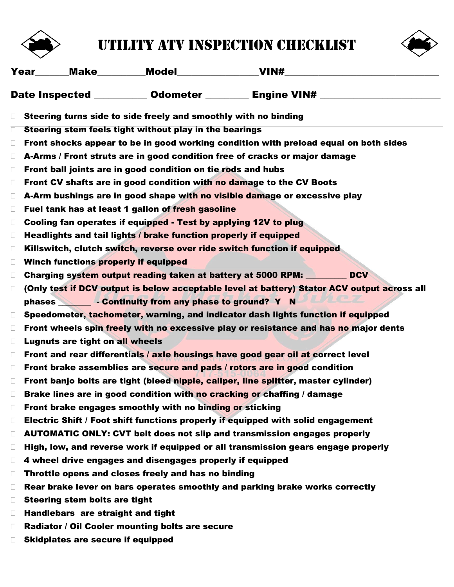

## utility ATV inspection checklist



|        | Year______Make_________Model__________________________VIN#_                                                                                           |
|--------|-------------------------------------------------------------------------------------------------------------------------------------------------------|
|        | Date Inspected ___________ Odometer _________ Engine VIN# ______________________                                                                      |
| $\Box$ | Steering turns side to side freely and smoothly with no binding                                                                                       |
| $\Box$ | Steering stem feels tight without play in the bearings                                                                                                |
| $\Box$ | Front shocks appear to be in good working condition with preload equal on both sides                                                                  |
| $\Box$ | A-Arms / Front struts are in good condition free of cracks or major damage                                                                            |
| $\Box$ | Front ball joints are in good condition on tie rods and hubs                                                                                          |
| $\Box$ | Front CV shafts are in good condition with no damage to the CV Boots                                                                                  |
| $\Box$ | A-Arm bushings are in good shape with no visible damage or excessive play                                                                             |
| $\Box$ | Fuel tank has at least 1 gallon of fresh gasoline                                                                                                     |
| $\Box$ | Cooling fan operates if equipped - Test by applying 12V to plug                                                                                       |
| $\Box$ | Headlights and tail lights / brake function properly if equipped                                                                                      |
| $\Box$ | Killswitch, clutch switch, reverse over ride switch function if equipped                                                                              |
| $\Box$ | <b>Winch functions properly if equipped</b>                                                                                                           |
| $\Box$ | <b>DCV</b><br>Charging system output reading taken at battery at 5000 RPM:                                                                            |
| $\Box$ | (Only test if DCV output is below acceptable level at battery) Stator ACV output across all<br>phases <b>Continuity from any phase to ground?</b> Y N |
| $\Box$ | Speedometer, tachometer, warning, and indicator dash lights function if equipped                                                                      |
| $\Box$ | Front wheels spin freely with no excessive play or resistance and has no major dents                                                                  |
| $\Box$ | <b>Lugnuts are tight on all wheels</b>                                                                                                                |
| $\Box$ | Front and rear differentials / axle housings have good gear oil at correct level                                                                      |
| $\Box$ | Front brake assemblies are secure and pads / rotors are in good condition                                                                             |
| $\Box$ | Front banjo bolts are tight (bleed nipple, caliper, line splitter, master cylinder)                                                                   |
|        | Brake lines are in good condition with no cracking or chaffing / damage                                                                               |
| $\Box$ | Front brake engages smoothly with no binding or sticking                                                                                              |
| $\Box$ | Electric Shift / Foot shift functions properly if equipped with solid engagement                                                                      |
| $\Box$ | <b>AUTOMATIC ONLY: CVT belt does not slip and transmission engages properly</b>                                                                       |
| $\Box$ | High, low, and reverse work if equipped or all transmission gears engage properly                                                                     |
| $\Box$ | 4 wheel drive engages and disengages properly if equipped                                                                                             |
| $\Box$ | Throttle opens and closes freely and has no binding                                                                                                   |
| $\Box$ | Rear brake lever on bars operates smoothly and parking brake works correctly                                                                          |
| $\Box$ | <b>Steering stem bolts are tight</b>                                                                                                                  |
| $\Box$ | Handlebars are straight and tight                                                                                                                     |
| $\Box$ | Radiator / Oil Cooler mounting bolts are secure                                                                                                       |
| $\Box$ | <b>Skidplates are secure if equipped</b>                                                                                                              |